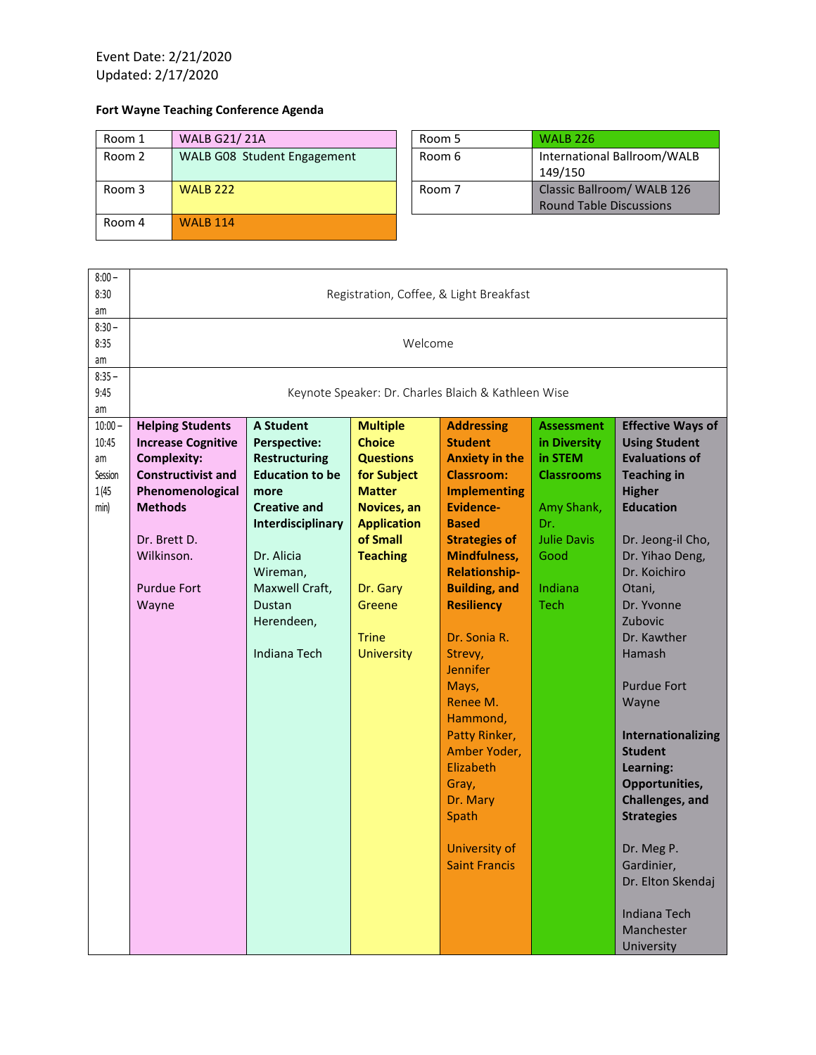Event Date: 2/21/2020 Updated: 2/17/2020

## **Fort Wayne Teaching Conference Agenda**

| Room 1 | <b>WALB G21/21A</b>         | Room 5 | <b>WALB 226</b>                |
|--------|-----------------------------|--------|--------------------------------|
| Room 2 | WALB G08 Student Engagement | Room 6 | International Ballroom/WALB    |
|        |                             |        | 149/150                        |
| Room 3 | <b>WALB 222</b>             | Room 7 | Classic Ballroom/ WALB 126     |
|        |                             |        | <b>Round Table Discussions</b> |
| Room 4 | <b>WAIR 114</b>             |        |                                |
|        |                             |        |                                |

| $8:00 -$<br>8:30<br>am                               | Registration, Coffee, & Light Breakfast                                                                                                                                                                    |                                                                                                                                                                                                                                   |                                                                                                                                                                                                                     |                                                                                                                                                                                                                                                                                                                                                                                                                                                                      |                                                                                                                                         |                                                                                                                                                                                                                                                                                                                                                                                                                                                                                                     |  |
|------------------------------------------------------|------------------------------------------------------------------------------------------------------------------------------------------------------------------------------------------------------------|-----------------------------------------------------------------------------------------------------------------------------------------------------------------------------------------------------------------------------------|---------------------------------------------------------------------------------------------------------------------------------------------------------------------------------------------------------------------|----------------------------------------------------------------------------------------------------------------------------------------------------------------------------------------------------------------------------------------------------------------------------------------------------------------------------------------------------------------------------------------------------------------------------------------------------------------------|-----------------------------------------------------------------------------------------------------------------------------------------|-----------------------------------------------------------------------------------------------------------------------------------------------------------------------------------------------------------------------------------------------------------------------------------------------------------------------------------------------------------------------------------------------------------------------------------------------------------------------------------------------------|--|
| $8:30 -$<br>8:35<br>am                               | Welcome                                                                                                                                                                                                    |                                                                                                                                                                                                                                   |                                                                                                                                                                                                                     |                                                                                                                                                                                                                                                                                                                                                                                                                                                                      |                                                                                                                                         |                                                                                                                                                                                                                                                                                                                                                                                                                                                                                                     |  |
| $8:35 -$<br>9:45<br>am                               | Keynote Speaker: Dr. Charles Blaich & Kathleen Wise                                                                                                                                                        |                                                                                                                                                                                                                                   |                                                                                                                                                                                                                     |                                                                                                                                                                                                                                                                                                                                                                                                                                                                      |                                                                                                                                         |                                                                                                                                                                                                                                                                                                                                                                                                                                                                                                     |  |
| $10:00 -$<br>10:45<br>am<br>Session<br>1(45)<br>min) | <b>Helping Students</b><br><b>Increase Cognitive</b><br><b>Complexity:</b><br><b>Constructivist and</b><br>Phenomenological<br><b>Methods</b><br>Dr. Brett D.<br>Wilkinson.<br><b>Purdue Fort</b><br>Wayne | <b>A Student</b><br><b>Perspective:</b><br><b>Restructuring</b><br><b>Education to be</b><br>more<br><b>Creative and</b><br>Interdisciplinary<br>Dr. Alicia<br>Wireman,<br>Maxwell Craft,<br>Dustan<br>Herendeen,<br>Indiana Tech | <b>Multiple</b><br><b>Choice</b><br><b>Questions</b><br>for Subject<br><b>Matter</b><br>Novices, an<br><b>Application</b><br>of Small<br><b>Teaching</b><br>Dr. Gary<br>Greene<br><b>Trine</b><br><b>University</b> | <b>Addressing</b><br><b>Student</b><br><b>Anxiety in the</b><br><b>Classroom:</b><br><b>Implementing</b><br><b>Evidence-</b><br><b>Based</b><br><b>Strategies of</b><br><b>Mindfulness,</b><br><b>Relationship-</b><br><b>Building, and</b><br><b>Resiliency</b><br>Dr. Sonia R.<br>Strevy,<br><b>Jennifer</b><br>Mays,<br>Renee M.<br>Hammond,<br>Patty Rinker,<br>Amber Yoder,<br>Elizabeth<br>Gray,<br>Dr. Mary<br>Spath<br>University of<br><b>Saint Francis</b> | <b>Assessment</b><br>in Diversity<br>in STEM<br><b>Classrooms</b><br>Amy Shank,<br>Dr.<br><b>Julie Davis</b><br>Good<br>Indiana<br>Tech | <b>Effective Ways of</b><br><b>Using Student</b><br><b>Evaluations of</b><br><b>Teaching in</b><br><b>Higher</b><br><b>Education</b><br>Dr. Jeong-il Cho,<br>Dr. Yihao Deng,<br>Dr. Koichiro<br>Otani.<br>Dr. Yvonne<br>Zubovic<br>Dr. Kawther<br>Hamash<br><b>Purdue Fort</b><br>Wayne<br>Internationalizing<br><b>Student</b><br>Learning:<br>Opportunities,<br>Challenges, and<br><b>Strategies</b><br>Dr. Meg P.<br>Gardinier,<br>Dr. Elton Skendaj<br>Indiana Tech<br>Manchester<br>University |  |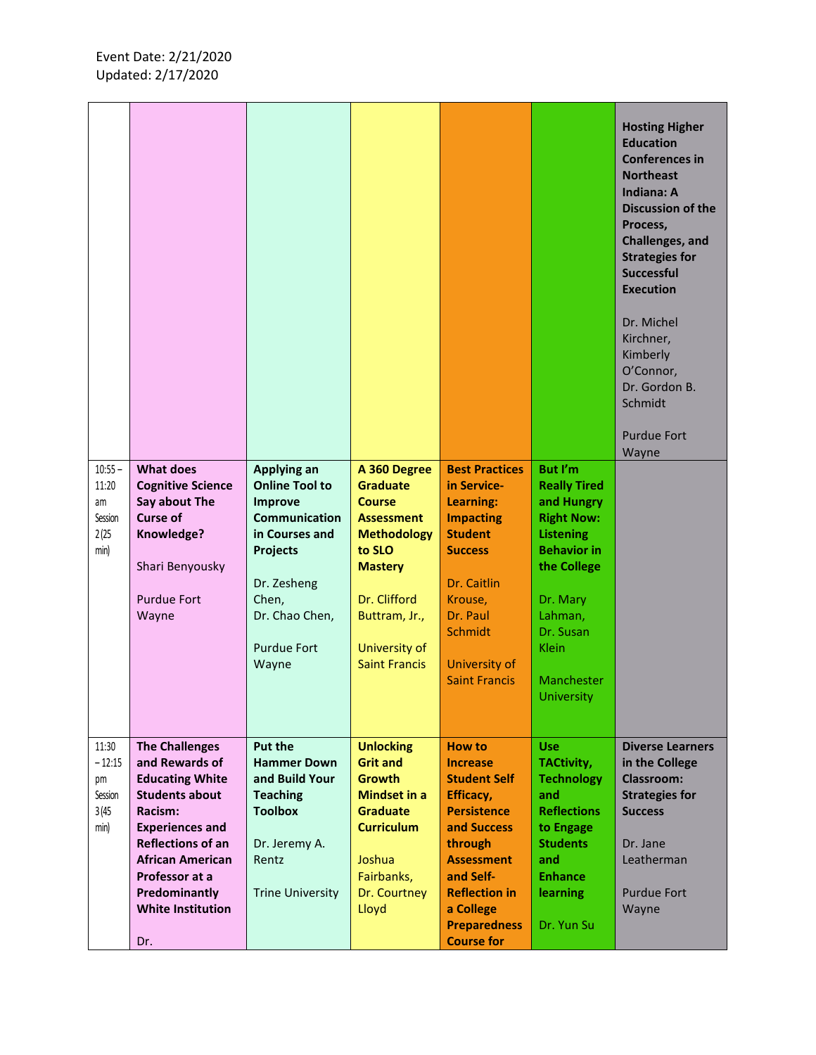|                          |                                                               |                                                 |                                                  |                                                   |                                              | <b>Hosting Higher</b><br><b>Education</b><br><b>Conferences in</b><br><b>Northeast</b><br><b>Indiana: A</b><br><b>Discussion of the</b><br>Process,<br>Challenges, and<br><b>Strategies for</b><br><b>Successful</b><br><b>Execution</b><br>Dr. Michel<br>Kirchner,<br>Kimberly<br>O'Connor,<br>Dr. Gordon B.<br>Schmidt<br><b>Purdue Fort</b><br>Wayne |
|--------------------------|---------------------------------------------------------------|-------------------------------------------------|--------------------------------------------------|---------------------------------------------------|----------------------------------------------|---------------------------------------------------------------------------------------------------------------------------------------------------------------------------------------------------------------------------------------------------------------------------------------------------------------------------------------------------------|
| $10:55 -$<br>11:20<br>am | <b>What does</b><br><b>Cognitive Science</b><br>Say about The | Applying an<br><b>Online Tool to</b><br>Improve | A 360 Degree<br><b>Graduate</b><br><b>Course</b> | <b>Best Practices</b><br>in Service-<br>Learning: | But I'm<br><b>Really Tired</b><br>and Hungry |                                                                                                                                                                                                                                                                                                                                                         |
| Session<br>2(25)         | <b>Curse of</b><br>Knowledge?                                 | <b>Communication</b><br>in Courses and          | <b>Assessment</b><br><b>Methodology</b>          | <b>Impacting</b><br><b>Student</b>                | <b>Right Now:</b><br><b>Listening</b>        |                                                                                                                                                                                                                                                                                                                                                         |
| min)                     |                                                               | <b>Projects</b>                                 | to SLO                                           | <b>Success</b>                                    | <b>Behavior in</b>                           |                                                                                                                                                                                                                                                                                                                                                         |
|                          | Shari Benyousky                                               | Dr. Zesheng                                     | <b>Mastery</b>                                   | Dr. Caitlin                                       | the College                                  |                                                                                                                                                                                                                                                                                                                                                         |
|                          | <b>Purdue Fort</b>                                            | Chen,                                           | Dr. Clifford                                     | Krouse,                                           | Dr. Mary                                     |                                                                                                                                                                                                                                                                                                                                                         |
|                          | Wayne                                                         | Dr. Chao Chen,                                  | Buttram, Jr.,                                    | Dr. Paul<br><b>Schmidt</b>                        | Lahman,<br>Dr. Susan                         |                                                                                                                                                                                                                                                                                                                                                         |
|                          |                                                               | <b>Purdue Fort</b>                              | University of                                    |                                                   | Klein                                        |                                                                                                                                                                                                                                                                                                                                                         |
|                          |                                                               | Wayne                                           | <b>Saint Francis</b>                             | University of<br><b>Saint Francis</b>             | Manchester                                   |                                                                                                                                                                                                                                                                                                                                                         |
|                          |                                                               |                                                 |                                                  |                                                   | <b>University</b>                            |                                                                                                                                                                                                                                                                                                                                                         |
| 11:30                    | <b>The Challenges</b>                                         | <b>Put the</b>                                  | <b>Unlocking</b>                                 | How to                                            | <b>Use</b>                                   | <b>Diverse Learners</b>                                                                                                                                                                                                                                                                                                                                 |
| $-12:15$<br>pm           | and Rewards of<br><b>Educating White</b>                      | <b>Hammer Down</b><br>and Build Your            | <b>Grit and</b><br><b>Growth</b>                 | <b>Increase</b><br><b>Student Self</b>            | <b>TACtivity,</b><br><b>Technology</b>       | in the College<br>Classroom:                                                                                                                                                                                                                                                                                                                            |
| Session                  | <b>Students about</b>                                         | <b>Teaching</b>                                 | <b>Mindset in a</b>                              | Efficacy,                                         | and                                          | <b>Strategies for</b>                                                                                                                                                                                                                                                                                                                                   |
| 3(45)<br>min)            | Racism:<br><b>Experiences and</b>                             | <b>Toolbox</b>                                  | <b>Graduate</b><br><b>Curriculum</b>             | <b>Persistence</b><br>and Success                 | <b>Reflections</b><br>to Engage              | <b>Success</b>                                                                                                                                                                                                                                                                                                                                          |
|                          | <b>Reflections of an</b><br><b>African American</b>           | Dr. Jeremy A.                                   |                                                  | through                                           | <b>Students</b>                              | Dr. Jane                                                                                                                                                                                                                                                                                                                                                |
|                          | Professor at a                                                | Rentz                                           | Joshua<br>Fairbanks,                             | <b>Assessment</b><br>and Self-                    | and<br><b>Enhance</b>                        | Leatherman                                                                                                                                                                                                                                                                                                                                              |
|                          | Predominantly<br><b>White Institution</b>                     | <b>Trine University</b>                         | Dr. Courtney<br>Lloyd                            | <b>Reflection in</b><br>a College                 | learning                                     | <b>Purdue Fort</b><br>Wayne                                                                                                                                                                                                                                                                                                                             |
|                          |                                                               |                                                 |                                                  | <b>Preparedness</b>                               | Dr. Yun Su                                   |                                                                                                                                                                                                                                                                                                                                                         |
|                          | Dr.                                                           |                                                 |                                                  | <b>Course for</b>                                 |                                              |                                                                                                                                                                                                                                                                                                                                                         |